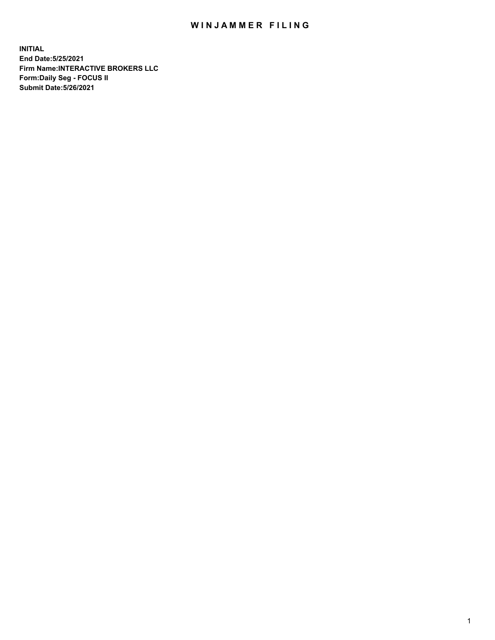## WIN JAMMER FILING

**INITIAL End Date:5/25/2021 Firm Name:INTERACTIVE BROKERS LLC Form:Daily Seg - FOCUS II Submit Date:5/26/2021**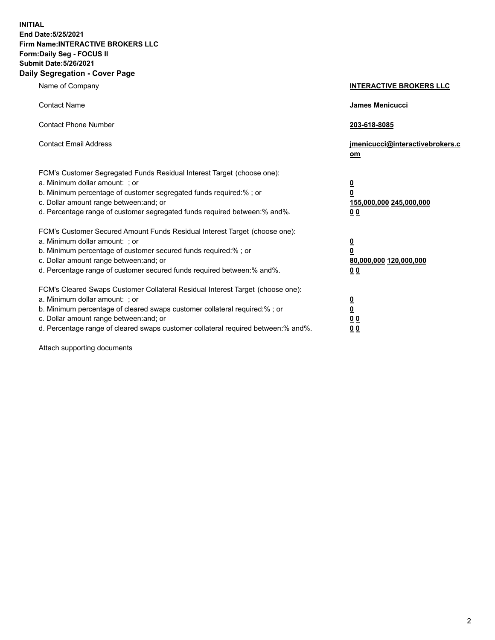**INITIAL End Date:5/25/2021 Firm Name:INTERACTIVE BROKERS LLC Form:Daily Seg - FOCUS II Submit Date:5/26/2021 Daily Segregation - Cover Page**

| Name of Company                                                                                                                                                                                                                                                                                                                | <b>INTERACTIVE BROKERS LLC</b>                                                   |
|--------------------------------------------------------------------------------------------------------------------------------------------------------------------------------------------------------------------------------------------------------------------------------------------------------------------------------|----------------------------------------------------------------------------------|
| <b>Contact Name</b>                                                                                                                                                                                                                                                                                                            | James Menicucci                                                                  |
| <b>Contact Phone Number</b>                                                                                                                                                                                                                                                                                                    | 203-618-8085                                                                     |
| <b>Contact Email Address</b>                                                                                                                                                                                                                                                                                                   | jmenicucci@interactivebrokers.c<br>om                                            |
| FCM's Customer Segregated Funds Residual Interest Target (choose one):<br>a. Minimum dollar amount: ; or<br>b. Minimum percentage of customer segregated funds required:% ; or<br>c. Dollar amount range between: and; or<br>d. Percentage range of customer segregated funds required between:% and%.                         | <u>0</u><br>$\overline{\mathbf{0}}$<br>155,000,000 245,000,000<br>0 <sub>0</sub> |
| FCM's Customer Secured Amount Funds Residual Interest Target (choose one):<br>a. Minimum dollar amount: ; or<br>b. Minimum percentage of customer secured funds required:% ; or<br>c. Dollar amount range between: and; or<br>d. Percentage range of customer secured funds required between:% and%.                           | <u>0</u><br>$\overline{\mathbf{0}}$<br>80,000,000 120,000,000<br>0 <sub>0</sub>  |
| FCM's Cleared Swaps Customer Collateral Residual Interest Target (choose one):<br>a. Minimum dollar amount: ; or<br>b. Minimum percentage of cleared swaps customer collateral required:% ; or<br>c. Dollar amount range between: and; or<br>d. Percentage range of cleared swaps customer collateral required between:% and%. | <u>0</u><br>$\underline{\mathbf{0}}$<br>0 <sub>0</sub><br>0 <sub>0</sub>         |

Attach supporting documents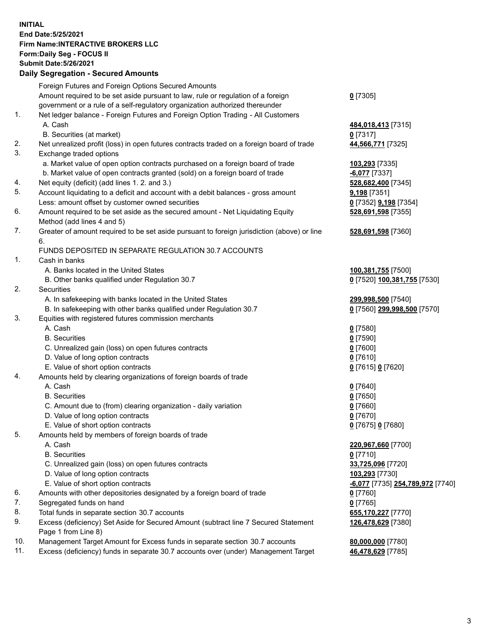**INITIAL End Date:5/25/2021 Firm Name:INTERACTIVE BROKERS LLC Form:Daily Seg - FOCUS II Submit Date:5/26/2021 Daily Segregation - Secured Amounts**

## Foreign Futures and Foreign Options Secured Amounts Amount required to be set aside pursuant to law, rule or regulation of a foreign government or a rule of a self-regulatory organization authorized thereunder **0** [7305] 1. Net ledger balance - Foreign Futures and Foreign Option Trading - All Customers A. Cash **484,018,413** [7315] B. Securities (at market) **0** [7317] 2. Net unrealized profit (loss) in open futures contracts traded on a foreign board of trade **44,566,771** [7325] 3. Exchange traded options a. Market value of open option contracts purchased on a foreign board of trade **103,293** [7335] b. Market value of open contracts granted (sold) on a foreign board of trade **-6,077** [7337] 4. Net equity (deficit) (add lines 1. 2. and 3.) **528,682,400** [7345] 5. Account liquidating to a deficit and account with a debit balances - gross amount **9,198** [7351] Less: amount offset by customer owned securities **0** [7352] **9,198** [7354] 6. Amount required to be set aside as the secured amount - Net Liquidating Equity Method (add lines 4 and 5) **528,691,598** [7355] 7. Greater of amount required to be set aside pursuant to foreign jurisdiction (above) or line 6. **528,691,598** [7360] FUNDS DEPOSITED IN SEPARATE REGULATION 30.7 ACCOUNTS 1. Cash in banks A. Banks located in the United States **100,381,755** [7500] B. Other banks qualified under Regulation 30.7 **0** [7520] **100,381,755** [7530] 2. Securities A. In safekeeping with banks located in the United States **299,998,500** [7540] B. In safekeeping with other banks qualified under Regulation 30.7 **0** [7560] **299,998,500** [7570] 3. Equities with registered futures commission merchants A. Cash **0** [7580] B. Securities **0** [7590] C. Unrealized gain (loss) on open futures contracts **0** [7600] D. Value of long option contracts **0** [7610] E. Value of short option contracts **0** [7615] **0** [7620] 4. Amounts held by clearing organizations of foreign boards of trade A. Cash **0** [7640] B. Securities **0** [7650] C. Amount due to (from) clearing organization - daily variation **0** [7660] D. Value of long option contracts **0** [7670] E. Value of short option contracts **0** [7675] **0** [7680] 5. Amounts held by members of foreign boards of trade A. Cash **220,967,660** [7700] B. Securities **0** [7710] C. Unrealized gain (loss) on open futures contracts **33,725,096** [7720] D. Value of long option contracts **103,293** [7730] E. Value of short option contracts **-6,077** [7735] **254,789,972** [7740] 6. Amounts with other depositories designated by a foreign board of trade **0** [7760] 7. Segregated funds on hand **0** [7765] 8. Total funds in separate section 30.7 accounts **655,170,227** [7770] 9. Excess (deficiency) Set Aside for Secured Amount (subtract line 7 Secured Statement Page 1 from Line 8) **126,478,629** [7380] 10. Management Target Amount for Excess funds in separate section 30.7 accounts **80,000,000** [7780] 11. Excess (deficiency) funds in separate 30.7 accounts over (under) Management Target **46,478,629** [7785]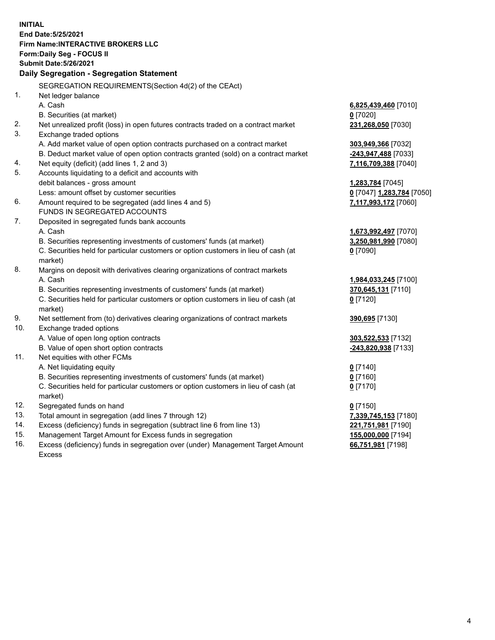**INITIAL End Date:5/25/2021 Firm Name:INTERACTIVE BROKERS LLC Form:Daily Seg - FOCUS II Submit Date:5/26/2021 Daily Segregation - Segregation Statement** SEGREGATION REQUIREMENTS(Section 4d(2) of the CEAct) 1. Net ledger balance A. Cash **6,825,439,460** [7010] B. Securities (at market) **0** [7020] 2. Net unrealized profit (loss) in open futures contracts traded on a contract market **231,268,050** [7030] 3. Exchange traded options A. Add market value of open option contracts purchased on a contract market **303,949,366** [7032] B. Deduct market value of open option contracts granted (sold) on a contract market **-243,947,488** [7033] 4. Net equity (deficit) (add lines 1, 2 and 3) **7,116,709,388** [7040] 5. Accounts liquidating to a deficit and accounts with debit balances - gross amount **1,283,784** [7045] Less: amount offset by customer securities **0** [7047] **1,283,784** [7050] 6. Amount required to be segregated (add lines 4 and 5) **7,117,993,172** [7060] FUNDS IN SEGREGATED ACCOUNTS 7. Deposited in segregated funds bank accounts A. Cash **1,673,992,497** [7070] B. Securities representing investments of customers' funds (at market) **3,250,981,990** [7080] C. Securities held for particular customers or option customers in lieu of cash (at market) **0** [7090] 8. Margins on deposit with derivatives clearing organizations of contract markets A. Cash **1,984,033,245** [7100] B. Securities representing investments of customers' funds (at market) **370,645,131** [7110] C. Securities held for particular customers or option customers in lieu of cash (at market) **0** [7120] 9. Net settlement from (to) derivatives clearing organizations of contract markets **390,695** [7130] 10. Exchange traded options A. Value of open long option contracts **303,522,533** [7132] B. Value of open short option contracts **-243,820,938** [7133] 11. Net equities with other FCMs A. Net liquidating equity **0** [7140] B. Securities representing investments of customers' funds (at market) **0** [7160] C. Securities held for particular customers or option customers in lieu of cash (at market) **0** [7170] 12. Segregated funds on hand **0** [7150] 13. Total amount in segregation (add lines 7 through 12) **7,339,745,153** [7180] 14. Excess (deficiency) funds in segregation (subtract line 6 from line 13) **221,751,981** [7190] 15. Management Target Amount for Excess funds in segregation **155,000,000** [7194] 16. Excess (deficiency) funds in segregation over (under) Management Target Amount **66,751,981** [7198]

Excess